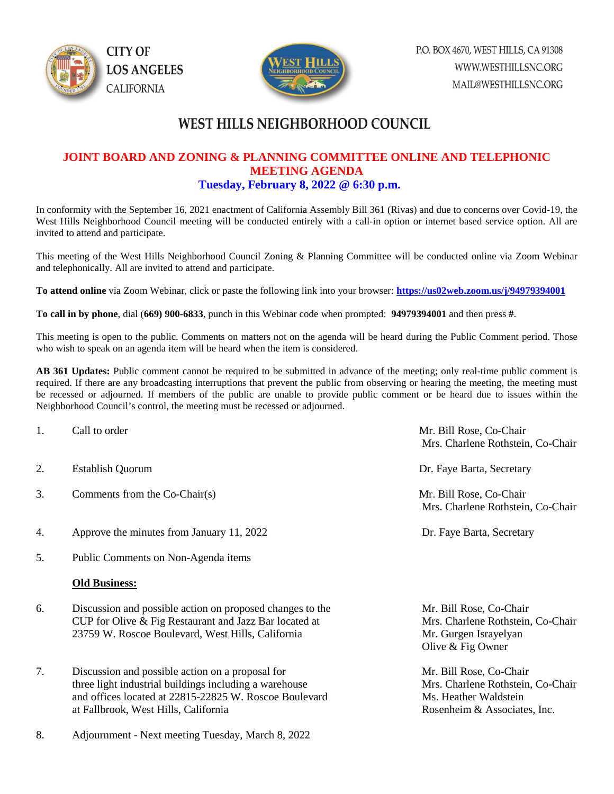



## **WEST HILLS NEIGHBORHOOD COUNCIL**

## **JOINT BOARD AND ZONING & PLANNING COMMITTEE ONLINE AND TELEPHONIC MEETING AGENDA Tuesday, February 8, 2022 @ 6:30 p.m.**

In conformity with the September 16, 2021 enactment of California Assembly Bill 361 (Rivas) and due to concerns over Covid-19, the West Hills Neighborhood Council meeting will be conducted entirely with a call-in option or internet based service option. All are invited to attend and participate.

This meeting of the West Hills Neighborhood Council Zoning & Planning Committee will be conducted online via Zoom Webinar and telephonically. All are invited to attend and participate.

**To attend online** via Zoom Webinar, click or paste the following link into your browser: **<https://us02web.zoom.us/j/94979394001>**

**To call in by phone**, dial (**669) 900-6833**, punch in this Webinar code when prompted: **94979394001** and then press **#**.

This meeting is open to the public. Comments on matters not on the agenda will be heard during the Public Comment period. Those who wish to speak on an agenda item will be heard when the item is considered.

**AB 361 Updates:** Public comment cannot be required to be submitted in advance of the meeting; only real-time public comment is required. If there are any broadcasting interruptions that prevent the public from observing or hearing the meeting, the meeting must be recessed or adjourned. If members of the public are unable to provide public comment or be heard due to issues within the Neighborhood Council's control, the meeting must be recessed or adjourned.

- 
- 2. Establish Quorum **Dr. Faye Barta, Secretary**
- 3. Comments from the Co-Chair(s) Mr. Bill Rose, Co-Chair
- 4. Approve the minutes from January 11, 2022 Dr. Faye Barta, Secretary
- 5. Public Comments on Non-Agenda items

### **Old Business:**

- 6. Discussion and possible action on proposed changes to the Mr. Bill Rose, Co-Chair CUP for Olive & Fig Restaurant and Jazz Bar located at Mrs. Charlene Rothstein, Co-Chair 23759 W. Roscoe Boulevard, West Hills, California Mr. Gurgen Israyelyan
- 7. Discussion and possible action on a proposal for Mr. Bill Rose, Co-Chair three light industrial buildings including a warehouse Mrs. Charlene Rothstein, Co-Chair and offices located at 22815-22825 W. Roscoe Boulevard Ms. Heather Waldstein at Fallbrook, West Hills, California  $\blacksquare$  Rosenheim & Associates, Inc.
- 8. Adjournment Next meeting Tuesday, March 8, 2022

1. Call to order a compared with the contract of the Mr. Bill Rose, Co-Chair Mrs. Charlene Rothstein, Co-Chair

Mrs. Charlene Rothstein, Co-Chair

Olive & Fig Owner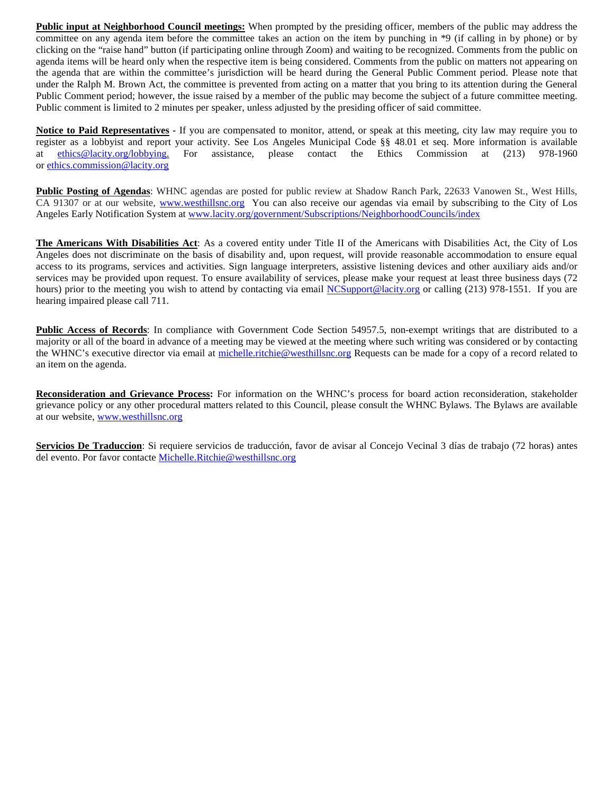**Public input at Neighborhood Council meetings:** When prompted by the presiding officer, members of the public may address the committee on any agenda item before the committee takes an action on the item by punching in \*9 (if calling in by phone) or by clicking on the "raise hand" button (if participating online through Zoom) and waiting to be recognized. Comments from the public on agenda items will be heard only when the respective item is being considered. Comments from the public on matters not appearing on the agenda that are within the committee's jurisdiction will be heard during the General Public Comment period. Please note that under the Ralph M. Brown Act, the committee is prevented from acting on a matter that you bring to its attention during the General Public Comment period; however, the issue raised by a member of the public may become the subject of a future committee meeting. Public comment is limited to 2 minutes per speaker, unless adjusted by the presiding officer of said committee.

**Notice to Paid Representatives -** If you are compensated to monitor, attend, or speak at this meeting, city law may require you to register as a lobbyist and report your activity. See Los Angeles Municipal Code §§ 48.01 et seq. More information is available at [ethics@lacity.org/lobbying.](mailto:) For assistance, please contact the Ethics Commission at (213) 978-1960 or [ethics.commission@lacity.org](mailto:)

**Public Posting of Agendas**: WHNC agendas are posted for public review at Shadow Ranch Park, 22633 Vanowen St., West Hills, CA 91307 or at our website, [www.westhillsnc.org](http://www.westhillsnc.org/) You can also receive our agendas via email by subscribing to the City of Los Angeles Early Notification System at [www.lacity.org/government/Subscriptions/NeighborhoodCouncils/index](http://www.lacity.org/government/Subscriptions/NeighborhoodCouncils/index)

**The Americans With Disabilities Act**: As a covered entity under Title II of the Americans with Disabilities Act, the City of Los Angeles does not discriminate on the basis of disability and, upon request, will provide reasonable accommodation to ensure equal access to its programs, services and activities. Sign language interpreters, assistive listening devices and other auxiliary aids and/or services may be provided upon request. To ensure availability of services, please make your request at least three business days (72 hours) prior to the meeting you wish to attend by contacting via email [NCSupport@lacity.org](mailto:NCSupport@lacity.org) or calling (213) 978-1551. If you are hearing impaired please call 711.

**Public Access of Records**: In compliance with Government Code Section 54957.5, non-exempt writings that are distributed to a majority or all of the board in advance of a meeting may be viewed at the meeting where such writing was considered or by contacting the WHNC's executive director via email at [michelle.ritchie@westhillsnc.org](mailto:michelle.ritchie@westhillsnc.org) Requests can be made for a copy of a record related to an item on the agenda.

**Reconsideration and Grievance Process:** For information on the WHNC's process for board action reconsideration, stakeholder grievance policy or any other procedural matters related to this Council, please consult the WHNC Bylaws. The Bylaws are available at our website, [www.westhillsnc.org](http://www.westhillsnc.org/)

**Servicios De Traduccion**: Si requiere servicios de traducción, favor de avisar al Concejo Vecinal 3 días de trabajo (72 horas) antes del evento. Por favor contacte [Michelle.Ritchie@westhillsnc.org](mailto:Michelle.Ritchie@westhillsnc.org)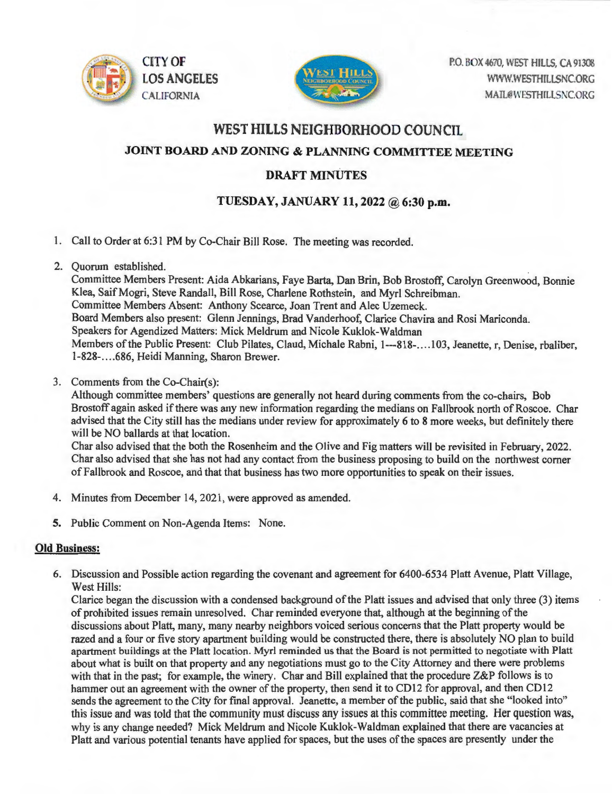



CITY OF P.O. BOX 4670, WEST HILLS, CA 91308 WWW.WESTHILLSNC.ORG MAIL@WESTHILLSNC.ORG

## WEST HILLS NEIGHBORHOOD COUNCIL

JOINT BOARD AND ZONING & PLANNING COMMITTEE MEETING

## DRAFT MINUTES

## TUESDAY, JANUARY 11, 2022 @ 6:30 p.m.

- 1. Call to Order at 6:31 PM by Co-Chair Bill Rose. The meeting was recorded.
- 2. Quorum established.

Committee Members Present: Aida Abkarians, Faye Barta, Dan Brin, Bob Brostoff, Carolyn Greenwood, Bonnie Klea, Saif Mogri, Steve Randall, Bill Rose, Charlene Rothstein, and Myrl Schreibman. Committee Members Absent: Anthony Scearce, Joan Trent and Alec Uzemeck. Board Members also present: Glenn Jennings, Brad Vanderhoof, Clarice Chavira and Rosi Mariconda. Speakers for Agendized Matters: Mick Meldrum and Nicole Kuklok-Waldman Members of the Public Present: Club Pilates, Claud, Michale Rabni, 1---818-....103, Jeanette, r, Denise, rbaliber, 1-828-.. .. 686, Heidi Manning, Sharon Brewer.

3. Comments from the Co-Chair(s):

Although committee members' questions are generally not heard during comments from the co-chairs, Bob Brostoff again asked if there was any new information regarding the medians on Fallbrook north of Roscoe. Char advised that the City still has the medians under review for approximately 6 to 8 more weeks, but definitely there will be NO ballards at that location.

Char also advised that the both the Rosenheim and the Olive and Fig matters will be revisited in February, 2022. Char also advised that she has not had any contact from the business proposing to build on the northwest corner of Fallbrook and Roscoe, and that that business has two more opportunities to speak on their issues.

- 4. Minutes from December 14, 2021, were approved as amended.
- 5. Public Comment on Non-Agenda Items: None.

## Old Business:

6. Discussion and Possible action regarding the covenant and agreement for 6400-6534 Platt Avenue, Platt Village, West Hills:

Clarice began the discussion with a condensed background of the Platt issues and advised that only three (3) items of prohibited issues remain unresolved. Char reminded everyone that, although at the beginning of the discussions about Platt, many, many nearby neighbors voiced serious concerns that the Platt property would be razed and a four or five story apartment building *would* be constructed there, there is absolutely NO plan to build apartment buildings at the Platt location. Myrl reminded us that the Board is not permitted to negotiate with Platt about what is built on that property and any negotiations must go to the City Attorney and there were problems with that in the past; for example, the winery. Char and Bill explained that the procedure Z&P follows is to hammer out an agreement with the owner of the property, then send it to CD12 for approval, and then CD12 sends the agreement to the City for final approval. Jeanette, a member of the public, said that she "looked into" this issue and was told that the community must discuss any issues at this committee meeting. Her question w why is any change needed? Mick Meldrum and Nicole Kuklok-Waldman explained that there are vacancies at Platt and various potential tenants have applied for spaces, but the uses of the spaces are presently under the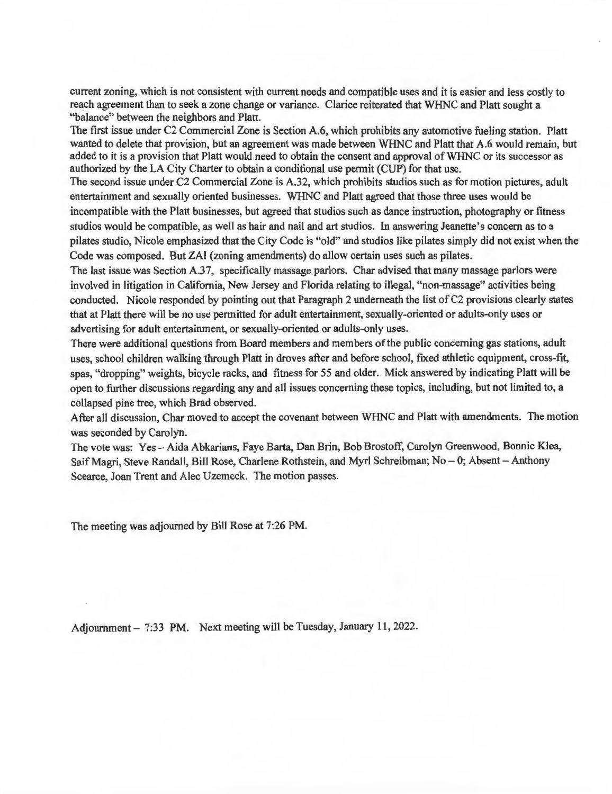current zoning, which is not consistent with current needs and compatible uses and it is easier and less costly to reach agreement than to seek a zone change or variance. Clarice reiterated that WHNC and Platt sought a "balance" between the neighbors and Platt.

The first issue under C2 Commercial Zone is Section A.6, which prohibits any automotive fueling station. Platt wanted to delete that provision, but an agreement was made between WHNC and Platt that A.6 would remain, but added to it is a provision that Platt would need to obtain the consent and approval of WHNC or its successor as authorized by the LA City Charter to obtain a conditional use permit (CUP) for that use.

The second issue under C2 Commercial Zone is A.32, which prohibits studios such as for motion pictures, adult entertainment and sexually oriented businesses. WHNC and Platt agreed that those three uses would be incompatible with the Platt businesses, but agreed that studios such as dance instruction, photography or fitness studios would be compatible, as well as hair and nail and art studios. In answering Jeanette's concern as to a pilates studio, Nicole emphasized that the City Code is "old" and studios like pilates simply did not exist when the Code was composed. But ZAI (zoning amendments) do allow certain uses such as pilates.

The last issue was Section A.37, specifically massage parlors. Char advised that many massage parlors were involved in litigation in California, New Jersey and Florida relating to illegal, "non-massage" activities being conducted. Nicole responded by pointing out that Paragraph 2 underneath the list of C2 provisions clearly states that at Platt there will be no use permitted for adult entertainment, sexually-oriented or adults-only uses or advertising for adult entertainment, or sexually-oriented or adults-only uses.

There were additional questions from Board members and members of the public concerning gas stations, adult uses, school children walking through Platt in droves after and before school, fixed athletic equipment, cross-fit, spas, "dropping" weights, bicycle racks, and fitness for 55 and older. Mick answered by indicating Platt will be open to further discussions regarding any and all issues concerning these topics, including, but not limited to, a collapsed pine tree, which Brad observed.

After all discussion, Char moved to accept the covenant between WHNC and Platt with amendments. The motion was seconded by Carolyn.

The vote was: Yes- Aida Abkarians, Faye Barta, Dan Brin, Bob Brostoff, Carolyn Greenwood, Bonnie Klea, Saif Magri, Steve Randall, Bill Rose, Charlene Rothstein, and Myrl Schreibman; No - 0; Absent - Anthony Scearce, Joan Trent and Alec Uzemeck. The motion passes.

The meeting was adjourned by Bill Rose at 7:26 PM.

Adjournment - 7:33 PM. Next meeting will be Tuesday, January 11, 2022.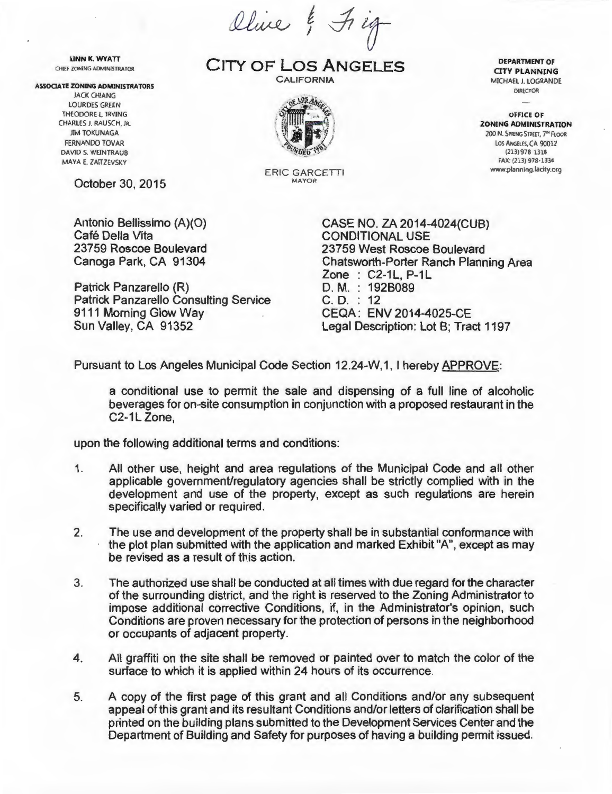Olive & Fig

UNN K. WYATT CHIEF ZONING ADMINISTRATOR

#### ASSOCIATE ZONING ADMINISTRATORS

JACK CHIANG LOURDES GREEN THEODORE l. IRVING CHARLES J. RAUSCH, JR. JIM TOKUNAGA FERNANDO TOVAR DAVID S. WEINTRAUB MAYA E. ZAITZEVSKY

October 30, 2015

Antonio Bellissimo (A)(O) Café Della Vita 23759 Roscoe Boulevard Canoga Park, CA 91304

Patrick Panzarello (R) Patrick Panzarello Consulting Service 9111 Morning Glow Way Sun Valley, CA 91352 Legal Description: Lot B: Tract 1197

CITY OF **LOS ANGELES CALIFORNIA** 



**ERIC GARCETTI** 

CASE NO. ZA 2014-4024(CUB) CONDITIONAL USE 23759 West Roscoe Boulevard Chatsworth-Porter Ranch Planning Area  $Zone : C2-1L, P-1L$ D. M. : 192B089 C. D. : 12 CEQA : ENV 2014-4025-CE

Pursuant to Los Angeles Municipal Code Section 12.24-W, 1, I hereby APPROVE:

a conditional use to permit the sale and dispensing of a full line of alcoholic beverages for on-site consumption in conjunction with a proposed restaurant in the  $C2-1L$  Zone,

upon the following additional terms and conditions:

- 1. All other use, height and area regulations of the Municipal Code and all other applicable government/regulatory agencies shall be strictly complied with in the development and use of the property, except as such regulations are herein specifically varied or required.
- 2. The use and development of the property shall be in substantial conformance with the plot plan submitted with the application and marked Exhibit "A", except as may be revised as a result of this action.
- 3. The authorized use shall be conducted at all times with due regard for the character of the surrounding district, and the right is reserved to the Zoning Administrator to impose additional corrective Conditions, if, in the Administrator's opinion, such Conditions are proven necessary for the protection of persons in the neighborhood or occupants of adjacent property.
- 4. All graffiti on the site shall be removed or painted over to match the color of the surface to which it is applied within 24 hours of its occurrence.
- 5. A copy of the first page of this grant and all Conditions and/or any subsequent appeal of this grant and its resultant Conditions and/or letters of clarification shall be printed on the building plans submitted to the Development Services Center and the Department of Building and Safety for purposes of having a building permit issued.

DEPARTMENT OF CITY PLANNING MICHAEL J. LOGRANDE DIRECTOR

OFFICE OF ZONING ADMINISTRATION 200 N. SPRING STREET, 7'" FLOOR LOS ANGELES, CA 90012 (213) 978 1318 FAX: (21 3) 978·1334 www.planning.lacity.org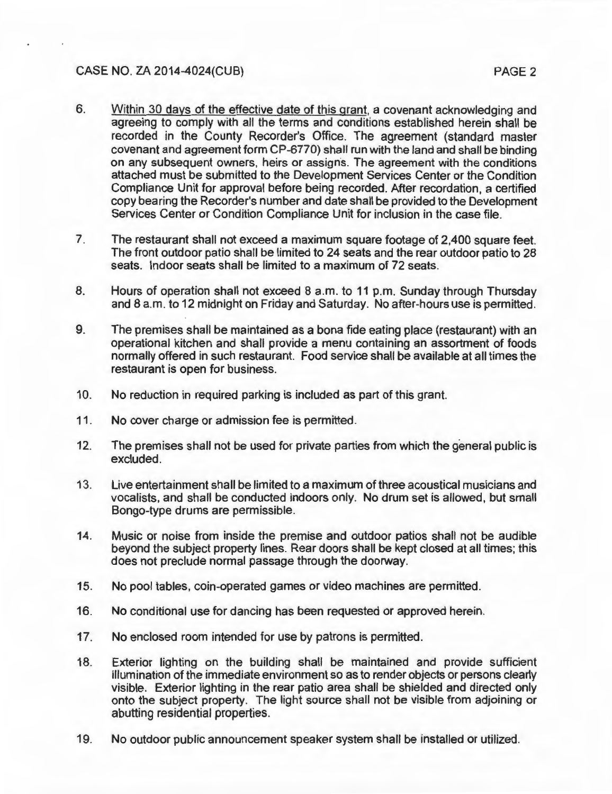## CASE NO. ZA 2014-4024(CUB) PAGE2

- 6. Within 30 days of the effective date of this grant, a covenant acknowledging and agreeing to comply with all the terms and conditions established herein shall be recorded in the County Recorder's Office. The agreement (standard master covenant and agreement form CP-6770) shall run with the land and shall be binding on any subsequent owners, heirs or assigns. The agreement with the conditions attached must be submitted to the Development Services Center or the Condition Compliance Unit for approval before being recorded. After recordation, a certified copy bearing the Recorder's number and date shall be provided to the Development Services Center or Condition Compliance Unit for inclusion in the case file.
- 7. The restaurant shall not exceed a maximum square footage of 2,400 square feet. The front outdoor patio shall be limited to 24 seats and the rear outdoor patio to 28 seats. Indoor seats shall be limited to a maximum of 72 seats.
- B. Hours of operation shall not exceed 8 a.m. to 11 p.m. Sunday through Thursday and 8 a.m. to 12 midnight on Friday and Saturday. No after-hours use is permitted.
- 9. The premises shall be maintained as a bona fide eating place (restaurant) with an operational kitchen and shall provide a menu containing an assortment of foods normally offered in such restaurant. Food service shall be available at all times the restaurant is open for business.
- 10. No reduction in required parking is included as part of this grant.
- 11. No cover charge or admission fee is permitted.
- 12. The premises shall not be used for private parties from which the general public is excluded.
- 13. Live entertainment shall be limited to a maximum of three acoustical musicians and vocalists, and shall be conducted indoors only. No drum set is allowed, but small Bongo-type drums are permissible.
- 14. Music or noise from inside the premise and outdoor patios shall not be audible beyond the subject property lines. Rear doors shall be kept closed at all times; this does not preclude normal passage through the doorway.
- 15. No pool tables, coin-operated games or video machines are permitted.
- 16. No conditional use for dancing has been requested or approved herein.
- 17. No enclosed room intended for use by patrons is permitted.
- 18. Exterior lighting on the building shall be maintained and provide sufficient illumination of the immediate environment so as to render objects or persons clearly visible. Exterior lighting in the rear patio area shall be shielded and directed only onto the subject property. The light source shall not be visible from adjoining or abutting residential properties.
- 19. No outdoor public announcement speaker system shall be installed or utilized.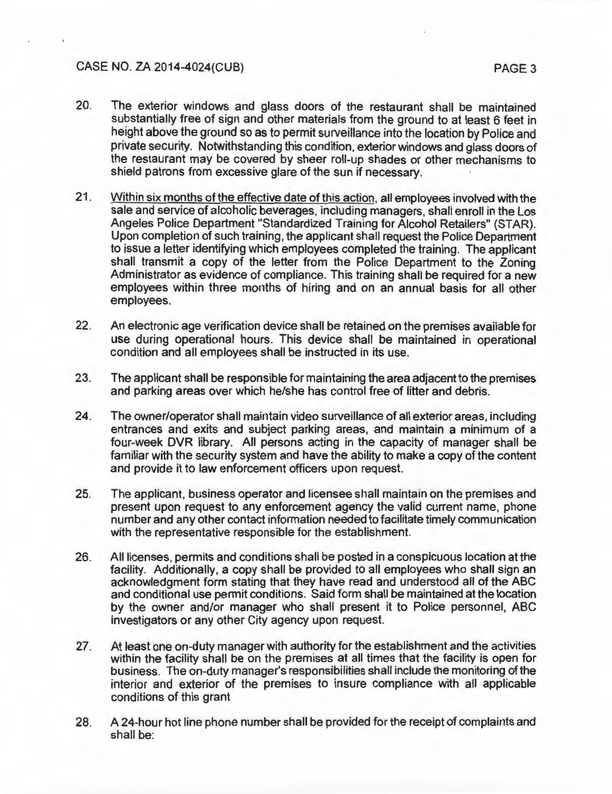### CASE NO. ZA 2014-4024(CUB) PAGE3

- 20. The exterior windows and glass doors of the restaurant shall be maintained substantially free of sign and other materials from the ground to at least 6 feet in height above the ground so as to permit surveillance into the location by Police and private security. Notwithstanding this condition, exterior windows and glass doors of the restaurant may be covered by sheer roll-up shades or other mechanisms to shield patrons from excessive glare of the sun if necessary.
- 21. Within six months of the effective date of this action, all employees involved with the sale and service of alcoholic beverages, including managers, shall enroll in the Los Angeles Police Department "Standardized Training for Alcohol Retailers" (STAR). Upon completion of such training, the applicant shall request the Police Department to issue a letter identifying which employees completed the training. The applicant shall transmit a copy of the letter from the Police Department to the Zoning Administrator as evidence of compliance. This training shall be required for a new employees within three months of hiring and on an annual basis for all other employees.
- 22. An electronic age verification device shall be retained on the premises available for use during operational hours. This device shall be maintained in operational condition and all employees shall be instructed in its use.
- 23. The applicant shall be responsible for maintaining the area adjacent to the premises and parking areas over which he/she has control free of litter and debris.
- 24. The owner/operator shall maintain video surveillance of all exterior areas, including entrances and exits and subject parking areas, and maintain a minimum of a four-week DVR library. All persons acting in the capacity of manager shall be familiar with the security system and have the ability to make a copy of the content and provide it to law enforcement officers upon request.
- 25. The applicant, business operator and licensee shall maintain on the premises and present upon request to any enforcement agency the valid current name, phone number and any other contact information needed to facilitate timely communication with the representative responsible for the establishment.
- 26. All licenses, permits and conditions shall be posted in a conspicuous location at the facility. Additionally, a copy shall be provided to all employees who shall sign an acknowledgment form stating that they have read and understood all of the ABC and conditional use permit conditions. Said form shall be maintained at the location by the owner and/or manager who shall present it to Police personnel, ABC investigators or any other City agency upon request.
- 27. At least one on-duty manager with authority for the establishment and the activities within the facility shall be on the premises at all times that the facility is open for business. The on-duty manager's responsibilities shall include the monitoring of the interior and exterior of the premises to insure compliance with all applicable conditions of. this grant
- 28. A 24-hour hot line phone number shall be provided for the receipt of complaints and shall be: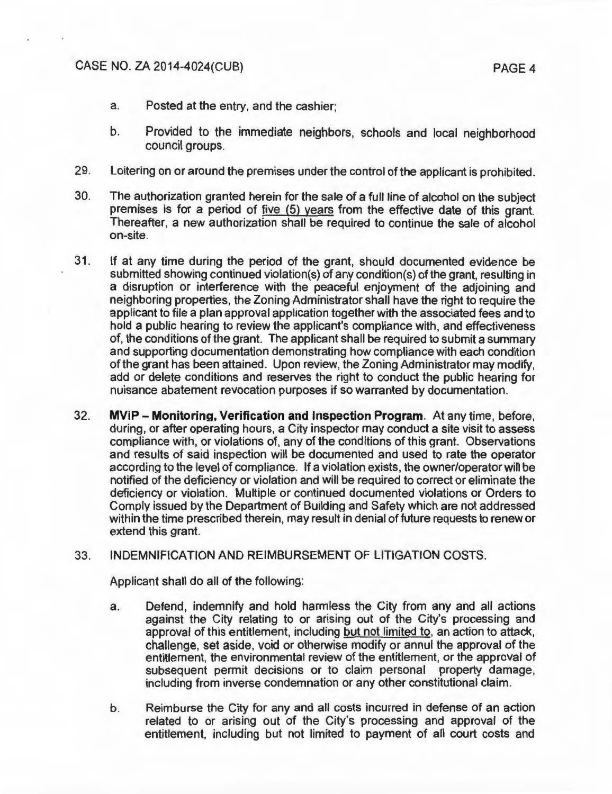- a. Posted at the entry, and the cashier;
- b. Provided to the immediate neighbors, schools and local neighborhood council groups.
- 29. Loitering on or around the premises under the control of the applicant is prohibited.
- 30. The authorization granted herein for the sale of a full line of alcohol on the subject premises is for a period of five (5) years from the effective date of this grant. Thereafter, a new authorization shall be required to continue the sale of alcohol on-site.
- 31. If at any time during the period of the grant, should documented evidence be submitted showing continued violation(s) of any condition(s) of the grant, resulting in a disruption or interference with the peaceful enjoyment of the adjoining and neighboring properties, the Zoning Administrator shall have the right to require the applicant to file a plan approval application together with the associated fees and to hold a public hearing to review the applicant's compliance with, and effectiveness of, the conditions of the grant. The applicant shall be required to submit a summary and supporting documentation demonstrating how compliance with each condition of the grant has been attained. Upon review, the Zoning Administrator may modify, add or delete conditions and reserves the right to conduct the public hearing for nuisance abatement revocation purposes if so warranted by documentation.
- 32. **MViP- Monitoring, Verification and Inspection Program.** At any time, before, during, or after operating hours, a City inspector may conduct a site visit to assess compliance with, or violations of, any of the conditions of this grant. Observations and results of said inspection will be documented and used to rate the operator according to the level of compliance. If a violation exists, the owner/operator will be notified of the deficiency or violation and will be required to correct or eliminate the deficiency or violation. Multiple or continued documented violations or Orders to Comply issued by the Department of Building and Safety which are not addressed within the time prescribed therein, may result in denial of future requests to renew or extend this grant.

### 33. INDEMNIFICATION AND REIMBURSEMENT OF LITIGATION COSTS.

Applicant shall do all of the following:

- a. Defend, indemnify and hold harmless the City from any and all actions against the City relating to or arising out of the City's processing and approval of this entitlement, including but not limited to, an action to attack, challenge, set aside, void or otherwise modify or annul the approval of the entitlement, the environmental review of the entitlement, or the approval of subsequent permit decisions or to claim personal property damage, including from inverse condemnation or any other constitutional claim.
- b. Reimburse the City for any and all costs incurred in defense of an action related to or arising out of the City's processing and approval of the entitlement, including but not limited to payment of all court costs and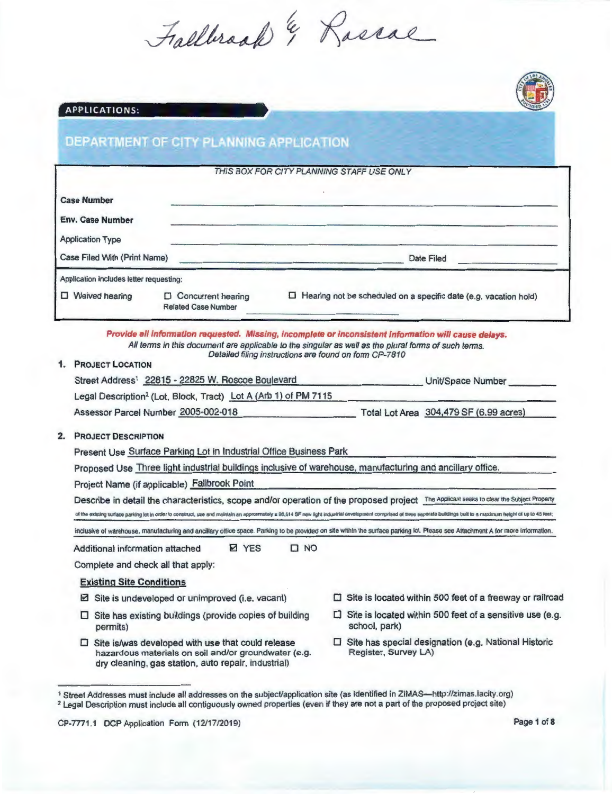Fallbroad & Rossae



## **DEPARTMENT OF CITY PLANNING APPLICATION**

#### THIS BOX FOR CITY PLANNING STAFF USE ONLY

| <b>Case Number</b>                      |                                                           |                                                                         |
|-----------------------------------------|-----------------------------------------------------------|-------------------------------------------------------------------------|
| <b>Env. Case Number</b>                 |                                                           |                                                                         |
| <b>Application Type</b>                 |                                                           |                                                                         |
| Case Filed With (Print Name)            |                                                           | <b>Date Filed</b>                                                       |
| Application includes letter requesting: |                                                           |                                                                         |
| <b>Waived hearing</b>                   | <b>D</b> Concurrent hearing<br><b>Related Case Number</b> | $\Box$ Hearing not be scheduled on a specific date (e.g. vacation hold) |

Provide all information requested. Missing, incomplete or inconsistent information *will* cause delays. All terms in this document are applicable to the singular as well as the plural forms of such terms. Detailed filing instructions are found on form CP-7810

#### 1. PROJECT LOCATION

| Street Address <sup>1</sup> 22815 - 22825 W. Roscoe Boulevard               | Unit/Space Number                      |
|-----------------------------------------------------------------------------|----------------------------------------|
| Legal Description <sup>2</sup> (Lot, Block, Tract) Lot A (Arb 1) of PM 7115 |                                        |
| Assessor Parcel Number 2005-002-018                                         | Total Lot Area 304,479 SF (6.99 acres) |

#### 2. PROJECT DESCRIPTION

Present Use Surface Parking Lot in Industrial Office Business Park

Proposed Use Three light industrial buildings inclusive of warehouse, manufacturing and ancillary office.

Project Name (if applicable) Fallbrook Point

Describe in detail the characteristics, scope and/or operation of the proposed project The Applicant seeks to clear the Subject Property of the existing surface parking lot in order to construct, use and maintain an approxmately  $\pm$  98.614 SF new light industrial development comprised of three seperate buildings built to a maximum height of up to 45 feet;

InClusive of warehouse, manufacturing and ancillary office space. Parking to be provided on sile within the surface parking lot. Please see Attachment A for more information.

Additional information attached **D** YES 0 NO

Complete and check all that apply:

#### Existing Site Conditions

- $\boxtimes$  Site is undeveloped or unimproved (i.e. vacant)
- $\square$  Site has existing buildings (provide copies of building permits)
- $\Box$  Site is located within 500 feet of a freeway or railroad
- $\square$  Site is located within 500 feet of a sensitive use (e.g. school, park)
- $\square$  Site is/was developed with use that could release hazardous materials on soil and/or groundwater (e.g. dry cleaning, gas station, auto repair, industrial)
- $\square$  Site has special designation (e.g. National Historic Register, Survey LA)



<sup>&</sup>lt;sup>1</sup> Street Addresses must include all addresses on the subject/application site (as identified in ZIMAS—http://zimas.lacity.org)<br><sup>2</sup> Legal Description must include all contiguously owned properties (even if they are not a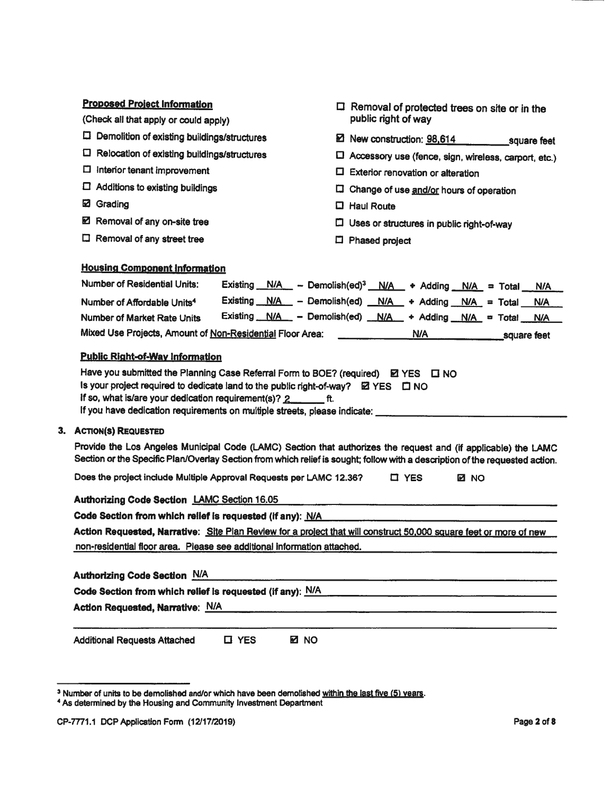| <b>Proposed Project Information</b>                                                                                                                       |                                                                                                                                                                                                                                                |
|-----------------------------------------------------------------------------------------------------------------------------------------------------------|------------------------------------------------------------------------------------------------------------------------------------------------------------------------------------------------------------------------------------------------|
| (Check all that apply or could apply)                                                                                                                     | $\Box$ Removal of protected trees on site or in the<br>public right of way                                                                                                                                                                     |
| <b>El</b> Demolition of existing buildings/structures                                                                                                     | ■ New construction: 98,614 square feet                                                                                                                                                                                                         |
| $\square$ Relocation of existing buildings/structures                                                                                                     | $\Box$ Accessory use (fence, sign, wireless, carport, etc.)                                                                                                                                                                                    |
| $\Box$ Interior tenant improvement                                                                                                                        | $\square$ Exterior renovation or alteration                                                                                                                                                                                                    |
| $\Box$ Additions to existing buildings                                                                                                                    | $\square$ Change of use and/or hours of operation                                                                                                                                                                                              |
| <b>⊠</b> Grading                                                                                                                                          | $\Box$ Haul Route                                                                                                                                                                                                                              |
| <b>Ø</b> Removal of any on-site tree                                                                                                                      | $\Box$ Uses or structures in public right-of-way                                                                                                                                                                                               |
| $\Box$ Removal of any street tree                                                                                                                         | $\Box$ Phased project                                                                                                                                                                                                                          |
| <b>Housing Component Information</b>                                                                                                                      |                                                                                                                                                                                                                                                |
| Number of Residential Units:                                                                                                                              | Existing $N/A$ - Demolish(ed) <sup>3</sup> $N/A$ + Adding $N/A$ = Total<br>N/A                                                                                                                                                                 |
| Number of Affordable Units <sup>4</sup>                                                                                                                   | Existing $N/A$ - Demolish(ed) $N/A$ + Adding $N/A$ = Total<br><b>N/A</b>                                                                                                                                                                       |
| <b>Number of Market Rate Units</b>                                                                                                                        | Existing N/A - Demolish(ed) N/A + Adding N/A = Total N/A                                                                                                                                                                                       |
| Mixed Use Projects, Amount of Non-Residential Floor Area:                                                                                                 | <b>N/A</b><br>square feet                                                                                                                                                                                                                      |
| Is your project required to dedicate land to the public right-of-way? EZ YES $\Box$ NO<br>If so, what is/are your dedication requirement(s)? $2 \sim$ ft. | Have you submitted the Planning Case Referral Form to BOE? (required) $\boxtimes$ YES $\Box$ NO<br>If you have dedication requirements on multiple streets, please indicate: __________________________                                        |
| 3. ACTION(S) REQUESTED                                                                                                                                    |                                                                                                                                                                                                                                                |
|                                                                                                                                                           | Provide the Los Angeles Municipal Code (LAMC) Section that authorizes the request and (if applicable) the LAMC<br>Section or the Specific Plan/Overlay Section from which relief is sought; follow with a description of the requested action. |
| Does the project include Multiple Approval Requests per LAMC 12.36?                                                                                       | <b>O</b> YES<br><b>EN NO</b>                                                                                                                                                                                                                   |
| <b>Authorizing Code Section LAMC Section 16.05</b>                                                                                                        |                                                                                                                                                                                                                                                |
| Code Section from which relief is requested (if any): N/A                                                                                                 |                                                                                                                                                                                                                                                |
|                                                                                                                                                           | Action Requested, Narrative: Site Plan Review for a project that will construct 50,000 square feet or more of new                                                                                                                              |
| non-residential floor area. Please see additional information attached.                                                                                   |                                                                                                                                                                                                                                                |
| <b>Authorizing Code Section N/A</b>                                                                                                                       |                                                                                                                                                                                                                                                |
| Code Section from which relief is requested (if any): N/A                                                                                                 |                                                                                                                                                                                                                                                |
| Action Requested, Narrative: N/A                                                                                                                          | <u> 1989 - Jan Samuel Alexandria (h. 1989).</u><br>1900 - Johann Stein, fransk politik (h. 1900).                                                                                                                                              |
| <b>Additional Requests Attached</b><br><b>LI YES</b>                                                                                                      | <b>EZ NO</b>                                                                                                                                                                                                                                   |

<sup>&</sup>lt;sup>3</sup> Number of units to be demolished and/or which have been demolished <u>within the last five (5) years</u>. <sup>4</sup>*As* determined by the Housing and Community Investment Department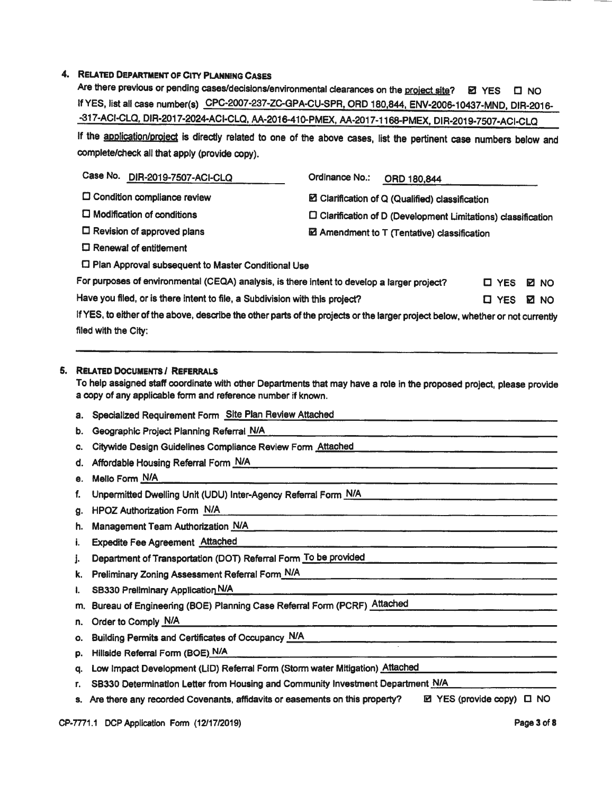### 4. RELATED DEPARTMENT OF CITY PLANNING CASES

Are there previous or pending cases/decisions/environmental clearances on the project site?  $\boxdot$  YES  $\Box$  NO If YES, list all case number(s) CPC-2007-237-ZC-GPA-CU-SPR, ORD 180,844, ENV-2006-10437-MND, DIR-2016--317-ACI-CLQ, DIR-2017-2024-ACI-CLQ, AA-2016-410-PMEX, AA-2017-1168-PMEX, DIR-2019-7507-ACI-CLQ

If the application/project is directly related to one of the above cases, list the pertinent case numbers below and complete/check all that apply (provide copy).

| Case No.<br>DIR-2019-7507-ACI-CLQ                                                                                              | Ordinance No.:<br>ORD 180,844                                         |                             |
|--------------------------------------------------------------------------------------------------------------------------------|-----------------------------------------------------------------------|-----------------------------|
| $\square$ Condition compliance review                                                                                          | E Clarification of Q (Qualified) classification                       |                             |
| $\Box$ Modification of conditions                                                                                              | $\square$ Clarification of D (Development Limitations) classification |                             |
| $\Box$ Revision of approved plans                                                                                              | E Amendment to T (Tentative) classification                           |                             |
| $\square$ Renewal of entitlement                                                                                               |                                                                       |                             |
| □ Plan Approval subsequent to Master Conditional Use                                                                           |                                                                       |                             |
| For purposes of environmental (CEQA) analysis, is there intent to develop a larger project?                                    |                                                                       | $\square$ YES<br>E NO       |
| Have you filed, or is there intent to file, a Subdivision with this project?                                                   |                                                                       | <b>D</b> YES<br><b>E</b> NO |
| if YES, to either of the above, describe the other parts of the projects or the larger project below, whether or not currently |                                                                       |                             |
| filed with the City:                                                                                                           |                                                                       |                             |
|                                                                                                                                |                                                                       |                             |

#### 5. RELATED DOCUMENTS I REFERRALS

To help assigned staff coordinate with other Departments that may have a role in the proposed project, please provide a copy of any applicable form and reference number if known.

- a. Specialized Requirement Form Site Plan Review Attached
- b. Geographic Project Planning Referral N/A
- c. Citywide Design Guidelines Compliance Review Form Attached
- d. Critywide Design Guidelines Compilance Review Form Auduned<br>d. Affordable Housing Referral Form N/A e. Mello Form.:.N.::.IA:..:.... \_\_\_\_\_\_\_\_\_\_\_\_\_\_\_\_\_\_\_\_\_\_\_\_\_\_\_\_\_\_ \_
- 
- f. Unpermitted Dwelling Unit (UDU) Inter-Agency Referral Form N/A
- g. HPOZ Authorization Form N/A.
- h. Management Team Authorization N/A
- i. Expedite Fee Agreement Attached
- j. Department of Transportation (DOT) Referral Form To be provided
- k. Preliminary Zoning Assessment Referral Form N/A
- I. SB330 Preliminary Application N/A
- m. Bureau of Engineering (BOE) Planning Case Referral Form (PCRF) ...Attached<br>m. Bureau of Engineering (BOE) Planning Case Referral Form (PCRF) ...Attached n. Bureau of Engineering (BOE) Planning Case Relental Porm (PCRP) Alliached<br>n. Order to Comply N/A
- 
- o. Building Permits and Certificates of Occupancy ..:.N.::;IA:..:..... \_\_\_\_\_\_\_\_\_\_\_\_\_\_\_\_\_\_ \_ o. Bullaing Permits and Certificates of Occupancy <u>TVA. New York and the serve the serve the serve that the serve</u><br>p. Hillside Referral Form (BOE) N/A
- 
- p. Hillside Referral Form (BOE<u>) N/A.</u><br>q. Low Impact Development (LID) Referral Form (Storm water Mitigation) <u>Attached:</u>

r. SB330 Determination Letter from Housing and Community Investment Department N/A

s. Are there any recorded Covenants, affidavits or easements on this property? BI YES (provide copy)  $\Box$  NO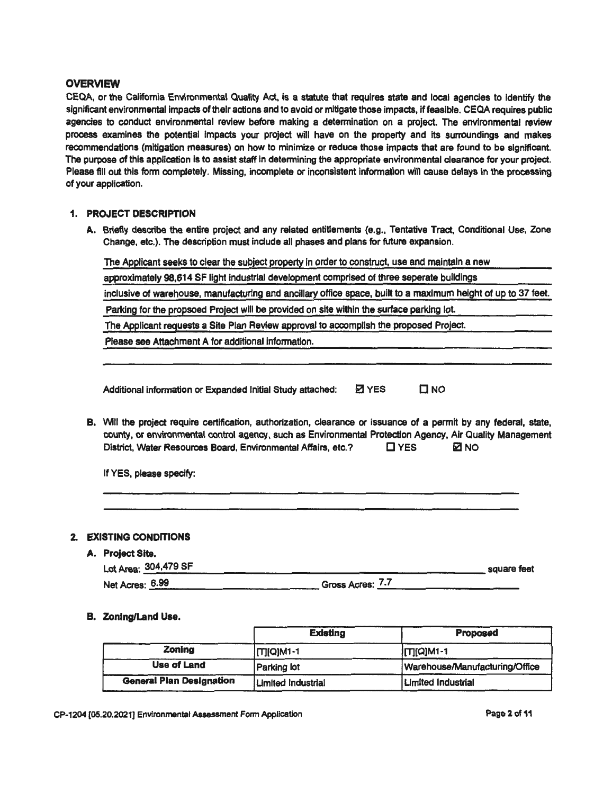#### **OVERVIEW**

CEQA, or the California Environmental Quality Act, is a statute that requires state and local agencies to Identify the significant environmental impacts of their actions and to avoid or mitigate those impacts, if feasible. CEQA requires public agencies to conduct environmental review before making a determination on a project. The environmental review process examines the potential impacts your project will have on the property and its surroundings and makes recommendations (mitigation measures) on how to minimize or reduce those impacts that are found to be significant. The purpose of this application is to assist staff in determining the appropriate environmental clearance for your project. Please fill out this form completely. Missing, incomplete or inconsistent information will cause delays in the processing of your application.

#### 1. PROJECT DESCRIPTION

A. Briefly describe the entire project and any related entitlements (e.g., Tentative Tract, Conditional Use, Zone Change, etc.). The description must indude all phases and plans for future expansion.

| The Applicant seeks to clear the subject property in order to construct, use and maintain a new                                                                                                                                                                                                 |              |               |  |
|-------------------------------------------------------------------------------------------------------------------------------------------------------------------------------------------------------------------------------------------------------------------------------------------------|--------------|---------------|--|
| approximately 98,614 SF light industrial development comprised of three seperate buildings                                                                                                                                                                                                      |              |               |  |
| inclusive of warehouse, manufacturing and ancillary office space, built to a maximum height of up to 37 feet.                                                                                                                                                                                   |              |               |  |
| Parking for the propsoed Project will be provided on site within the surface parking lot.                                                                                                                                                                                                       |              |               |  |
| The Applicant requests a Site Plan Review approval to accomplish the proposed Project.                                                                                                                                                                                                          |              |               |  |
| Please see Attachment A for additional information.                                                                                                                                                                                                                                             |              |               |  |
| Additional information or Expanded Initial Study attached:                                                                                                                                                                                                                                      | <b>Z</b> YES | $\square$ NO  |  |
| B. Will the project require certification, authorization, clearance or issuance of a permit by any federal, state,<br>county, or environmental control agency, such as Environmental Protection Agency, Air Quality Management<br>District, Water Resources Board, Environmental Affairs, etc.? |              | ⊠ NO<br>□ YFS |  |

If YES. please specify:

### 2. EXISTING CONDITIONS

#### A. Project Site.

| Project Site.        |                  |             |
|----------------------|------------------|-------------|
| Lot Area: 304,479 SF |                  | square feet |
| Net Acres: 6.99      | Gross Acres: 7.7 |             |

#### B. ZOning/Land Use.

|                                 | <b>Existing</b>    | <b>Proposed</b>                |
|---------------------------------|--------------------|--------------------------------|
| Zoning                          | [T][Q]M1-1         | <b>ITIQIM1-1</b>               |
| Use of Land                     | <b>Parking lot</b> | Warehouse/Manufacturing/Office |
| <b>General Plan Designation</b> | Limited Industrial | <b>Limited Industrial</b>      |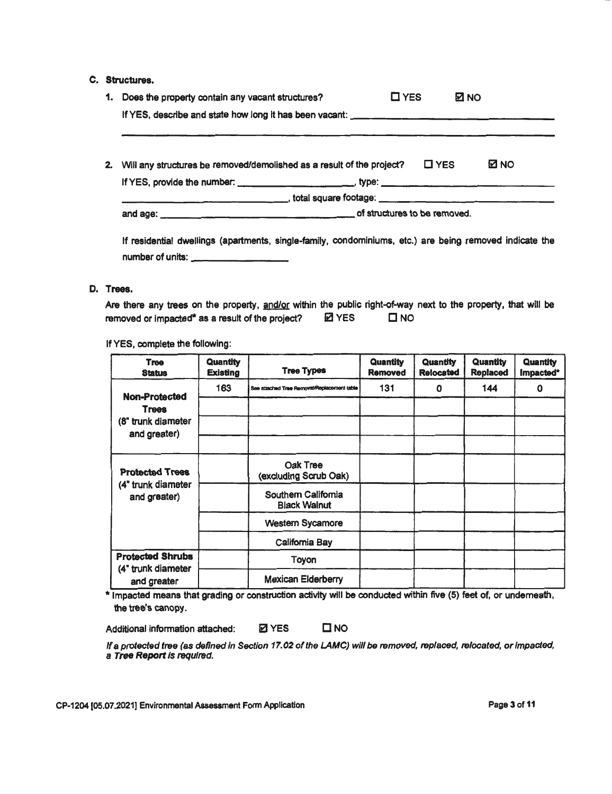#### c. Structures.

| 1. Does the property contain any vacant structures?                                                                                                                                                          | $\square$ YES<br><b>⊠ NO</b> |  |             |
|--------------------------------------------------------------------------------------------------------------------------------------------------------------------------------------------------------------|------------------------------|--|-------------|
|                                                                                                                                                                                                              |                              |  |             |
| <u> 2002 - John Harry Harry Harry Harry Harry Harry Harry Harry Harry Harry Harry Harry Harry Harry Harry Harry H</u><br>2. Will any structures be removed/demolished as a result of the project? $\Box$ YES |                              |  | <b>⊠ NO</b> |
|                                                                                                                                                                                                              |                              |  |             |
|                                                                                                                                                                                                              |                              |  |             |
|                                                                                                                                                                                                              |                              |  |             |
|                                                                                                                                                                                                              |                              |  |             |
| If residential dwellings (apartments, single-family, condominiums, etc.) are being removed indicate the                                                                                                      |                              |  |             |
| number of units:                                                                                                                                                                                             |                              |  |             |

#### D. Trees.

Are there any trees on the property, and/or within the public right-of-way next to the property, that will be removed or impacted\* as a result of the project?  $\boxtimes$  YES  $\Box$  NO

If YES, complete the following:

| <b>Tree</b><br><b>Status</b>       | Quantity<br>Existing | <b>Tree Types</b>                           | <b>Quantity</b><br><b>Removed</b> | <b>Quantity</b><br><b>Relocated</b> | <b>Quantity</b><br><b>Replaced</b> | Quantity<br>Impacted* |
|------------------------------------|----------------------|---------------------------------------------|-----------------------------------|-------------------------------------|------------------------------------|-----------------------|
| <b>Non-Protected</b>               | 163                  | See attached Tree Removal/Replacement table | 131                               | 0                                   | 144                                | 0                     |
| <b>Trees</b>                       |                      |                                             |                                   |                                     |                                    |                       |
| (8" trunk diameter<br>and greater) |                      |                                             |                                   |                                     |                                    |                       |
|                                    |                      |                                             |                                   |                                     |                                    |                       |
| <b>Protected Trees</b>             |                      | Oak Tree<br>(excluding Scrub Oak)           |                                   |                                     |                                    |                       |
| (4" trunk diameter<br>and greater) |                      | Southem California<br><b>Black Walnut</b>   |                                   |                                     |                                    |                       |
|                                    |                      | <b>Western Sycamore</b>                     |                                   |                                     |                                    |                       |
|                                    |                      | California Bay                              |                                   |                                     |                                    |                       |
| <b>Protected Shrubs</b>            |                      | Toyon                                       |                                   |                                     |                                    |                       |
| (4" trunk diameter<br>and greater  |                      | <b>Mexican Elderberry</b>                   |                                   |                                     |                                    |                       |

\* Impacted means that grading or construction activity will be conducted within five (5) feet of, or underneath, the tree's canopy.

Additional information attached: 2 YES DINO

If a protected tree (as defined in Section 17.02 of the LAMC) will be removed, replaced, relocated, or Impacted, a Tree Report Is required.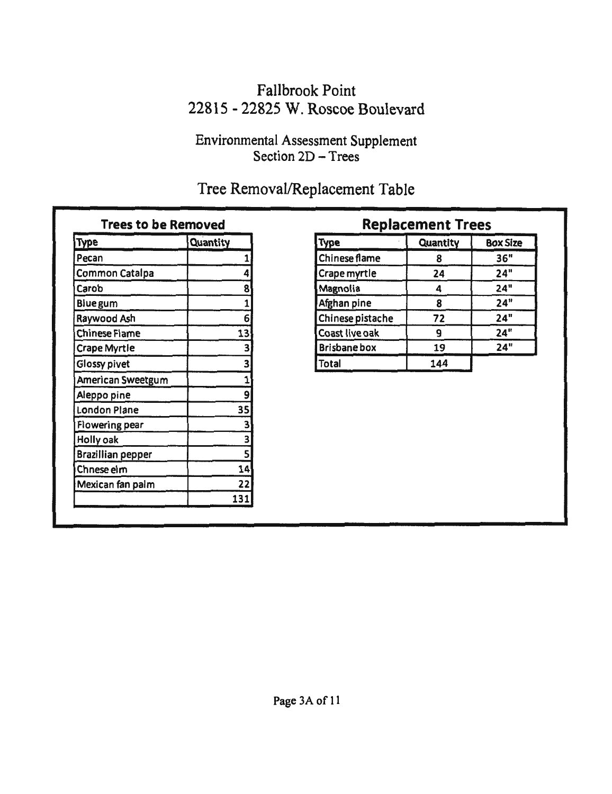# Fallbrook Point 22815 - 22825 W. Roscoe Boulevard

## Environmental Assessment Supplement Section 2D - Trees

# Tree Removal/Replacement Table

| <b>Trees to be Removed</b> |                 |                     | Replacement   |
|----------------------------|-----------------|---------------------|---------------|
| <b>Type</b>                | <b>Quantity</b> | <b>Type</b>         | <b>Quanti</b> |
| Pecan                      |                 | Chinese flame       | 8             |
| Common Catalpa             | 4               | Crape myrtle        | 24            |
| Carob                      | 8               | Magnolia            | 4             |
| <b>Blue gum</b>            |                 | Afghan pine         | 8             |
| Raywood Ash                | 6               | Chinese pistache    | 72            |
| <b>Chinese Flame</b>       | 13              | Coast live oak      | 9             |
| <b>Crape Myrtle</b>        | 3               | <b>Brisbane box</b> | 19            |
| Glossy pivet               | 3               | <b>Total</b>        | 144           |
| American Sweetgum          |                 |                     |               |
| Aleppo pine                | 9               |                     |               |
| <b>London Plane</b>        | 35              |                     |               |
| Flowering pear             | 3               |                     |               |
| Holly oak                  | 3               |                     |               |
| <b>Brazillian pepper</b>   |                 |                     |               |
| Chnese elm                 | 14              |                     |               |
| Mexican fan palm           | 22              |                     |               |
|                            | 131             |                     |               |

## **Replacement Trees** Type Quantity Type Quantity Box Size Chinese flame 8 36" Crape myrtle 24 24"<br>
Magnolia 4 24" Carob 24" 8 Magnolia 4 24" Afghan pine 8 24" Chinese pistache 72 24" Coast live oak 9 24"<br>Brisbane box 19 24" Brisbane box 19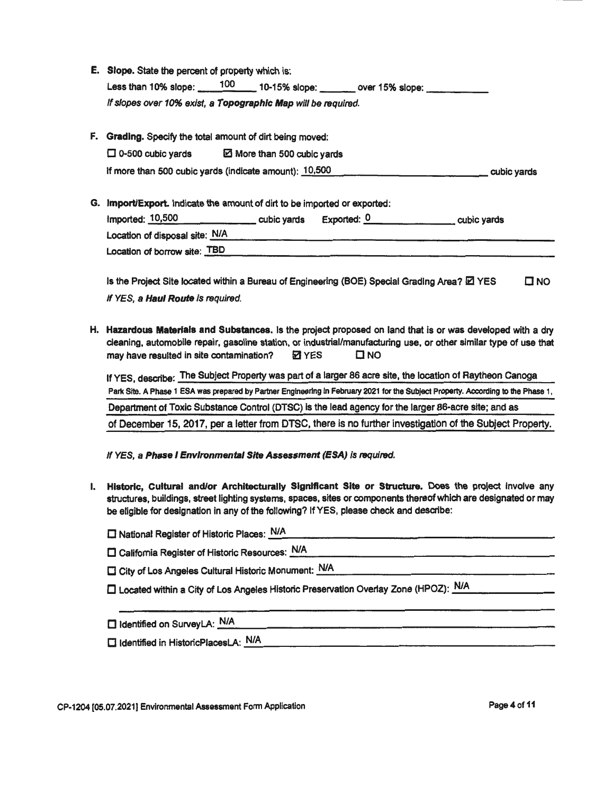|    | E. Slope. State the percent of property which is:                                                                                                                                                                                                                                                    |
|----|------------------------------------------------------------------------------------------------------------------------------------------------------------------------------------------------------------------------------------------------------------------------------------------------------|
|    | Less than 10% slope: 100 10-15% slope: 00er 15% slope: 15% slope:                                                                                                                                                                                                                                    |
|    | If slopes over 10% exist, a Topographic Map will be required.                                                                                                                                                                                                                                        |
|    | F. Grading. Specify the total amount of dirt being moved:                                                                                                                                                                                                                                            |
|    | $\Box$ 0-500 cubic yards<br>More than 500 cubic yards                                                                                                                                                                                                                                                |
|    | If more than 500 cubic yards (indicate amount): 10,500<br>cubic yards                                                                                                                                                                                                                                |
| G. | Import/Export. Indicate the amount of dirt to be imported or exported:<br>Imported: $10,500$ cubic yards Exported: $0$ cubic yards                                                                                                                                                                   |
|    | Location of disposal site: N/A                                                                                                                                                                                                                                                                       |
|    | Location of borrow site: TBD                                                                                                                                                                                                                                                                         |
|    | Is the Project Site located within a Bureau of Engineering (BOE) Special Grading Area? E YES<br>O N ⊡                                                                                                                                                                                                |
|    | If YES, a Haul Route is required.                                                                                                                                                                                                                                                                    |
|    | H. Hazardous Materials and Substances. Is the project proposed on land that is or was developed with a dry<br>cleaning, automobile repair, gasoline station, or industrial/manufacturing use, or other similar type of use that<br>$\square$ NO<br>may have resulted in site contamination?<br>⊠ YES |
|    | If YES, describe: The Subject Property was part of a larger 86 acre site, the location of Raytheon Canoga                                                                                                                                                                                            |
|    | Park Site. A Phase 1 ESA was prepared by Partner Engineering in February 2021 for the Subject Property. According to the Phase 1,                                                                                                                                                                    |
|    | Department of Toxic Substance Control (DTSC) is the lead agency for the larger 86-acre site; and as                                                                                                                                                                                                  |
|    | of December 15, 2017, per a letter from DTSC, there is no further investigation of the Subject Property.                                                                                                                                                                                             |

If YES, a Phase I Environmental Site Assessment (ESA) is required.

1. Historic, Cultural and/or Architecturally Significant Site or Structure. Does the project involve any structures, buildings, street lighting systems, spaces, sites or components thereof which are designated or may be eligible for designation in any of the following? If YES, please check and describe:

| □ National Register of Historic Places: N/A |  |
|---------------------------------------------|--|

 $\square$  California Register of Historic Resources: N/A

- $\square$  City of Los Angeles Cultural Historic Monument: N/A
- □ Located within a City of Los Angeles Historic Preservation Overlay Zone (HPOZ): N/A
- □ Identified on SurveyLA: N/A
- □ Identified in HistoricPlacesLA: N/A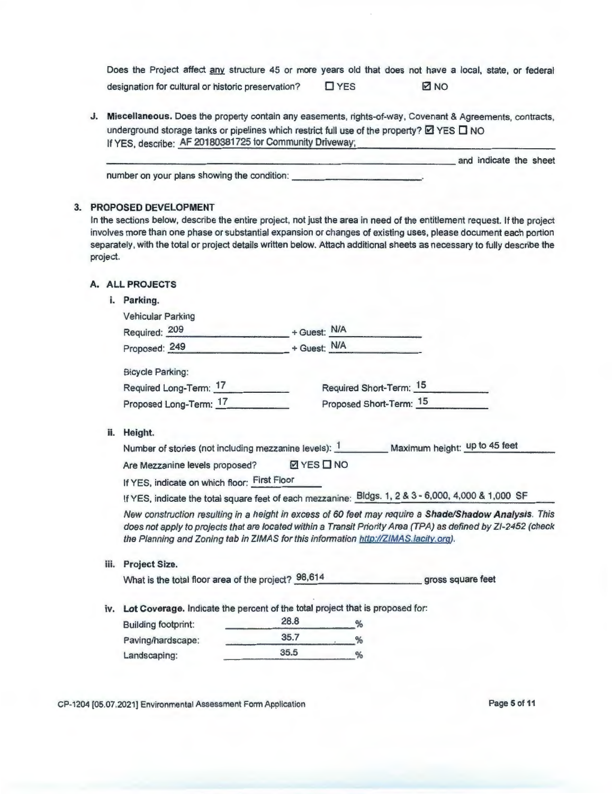Does the Project affect any structure 45 or more years old that does not have a local, state, or federal designation for cultural or historic preservation? 
<br>
DYES 
<br>
DIGIT

J. Miscellaneous. Does the property contain any easements , rights-of-way, Covenant & Agreements, contracts, underground storage tanks or pipelines which restrict full use of the property?  $\boxtimes$  YES  $\Box$  NO If YES, describe: AF 20180381725 for Community Driveway;

| If $I \subseteq S$ , describe, $\sim$ for $\sim$ for $\sim$ for $\sim$ forminging binding, |                        |  |
|--------------------------------------------------------------------------------------------|------------------------|--|
|                                                                                            | and indicate the sheet |  |
| number on your plans showing the condition:                                                |                        |  |

#### 3. PROPOSED DEVELOPMENT

In the sections below, describe the entire project, not just the area in need of the entitlement request. If the project involves more than one phase or substantial expansion or changes of existing uses, please document each portion separately, with the total or project details written below. Attach additional sheets as necessary to fully describe the project.

#### A. ALL PROJECTS

| i. Parking. |
|-------------|
|             |

|      | <b>Vehicular Parking</b>                                                                                                                                                                                                                                                                                      |                  |                         |                   |
|------|---------------------------------------------------------------------------------------------------------------------------------------------------------------------------------------------------------------------------------------------------------------------------------------------------------------|------------------|-------------------------|-------------------|
|      | Required: 209                                                                                                                                                                                                                                                                                                 | + Guest: N/A     |                         |                   |
|      | Proposed: 249                                                                                                                                                                                                                                                                                                 | + Guest: N/A     |                         |                   |
|      | <b>Bicycle Parking:</b>                                                                                                                                                                                                                                                                                       |                  |                         |                   |
|      | Required Long-Term: 17                                                                                                                                                                                                                                                                                        |                  | Required Short-Term: 15 |                   |
|      | Proposed Long-Term: 17                                                                                                                                                                                                                                                                                        |                  | Proposed Short-Term: 15 |                   |
| ii.  | Height.                                                                                                                                                                                                                                                                                                       |                  |                         |                   |
|      | Number of stories (not including mezzanine levels): 1 Maximum height: up to 45 feet                                                                                                                                                                                                                           |                  |                         |                   |
|      | Are Mezzanine levels proposed?                                                                                                                                                                                                                                                                                | <b>ØYES</b> □ NO |                         |                   |
|      | If YES, indicate on which floor: First Floor                                                                                                                                                                                                                                                                  |                  |                         |                   |
|      | If YES, indicate the total square feet of each mezzanine: Bldgs. 1, 2 & 3 - 6,000, 4,000 & 1,000 SF                                                                                                                                                                                                           |                  |                         |                   |
|      | New construction resulting in a height in excess of 60 feet may require a Shade/Shadow Analysis. This<br>does not apply to projects that are located within a Transit Priority Area (TPA) as defined by ZI-2452 (check<br>the Planning and Zoning tab in ZIMAS for this information http://ZIMAS.lacity.org). |                  |                         |                   |
| iii. | Project Size.                                                                                                                                                                                                                                                                                                 |                  |                         |                   |
|      | What is the total floor area of the project? 98,614                                                                                                                                                                                                                                                           |                  |                         | gross square feet |
| iv.  | Lot Coverage. Indicate the percent of the total project that is proposed for:                                                                                                                                                                                                                                 |                  |                         |                   |
|      | <b>Building footprint:</b>                                                                                                                                                                                                                                                                                    | 28.8             | %                       |                   |
|      | Paving/hardscape:                                                                                                                                                                                                                                                                                             | 35.7             | %                       |                   |
|      | Landscaping:                                                                                                                                                                                                                                                                                                  | 35.5             | %                       |                   |

CP-1204 (05.07.2021] Environmental Assessment Form Application Page 5 of 11